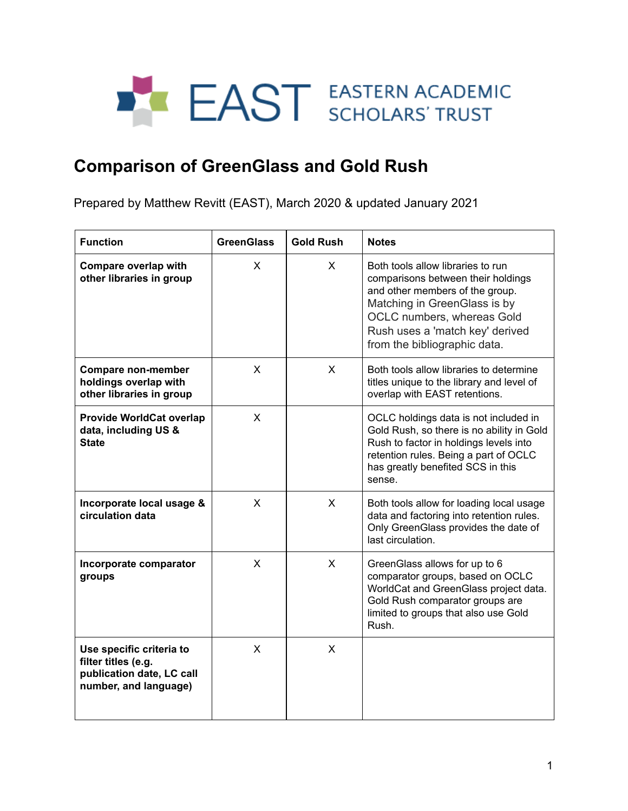## **EAST EASTERN ACADEMIC**

## **Comparison of GreenGlass and Gold Rush**

Prepared by Matthew Revitt (EAST), March 2020 & updated January 2021

| <b>Function</b>                                                                                       | <b>GreenGlass</b> | <b>Gold Rush</b> | <b>Notes</b>                                                                                                                                                                                                                                |
|-------------------------------------------------------------------------------------------------------|-------------------|------------------|---------------------------------------------------------------------------------------------------------------------------------------------------------------------------------------------------------------------------------------------|
| Compare overlap with<br>other libraries in group                                                      | X                 | X.               | Both tools allow libraries to run<br>comparisons between their holdings<br>and other members of the group.<br>Matching in GreenGlass is by<br>OCLC numbers, whereas Gold<br>Rush uses a 'match key' derived<br>from the bibliographic data. |
| <b>Compare non-member</b><br>holdings overlap with<br>other libraries in group                        | X                 | X                | Both tools allow libraries to determine<br>titles unique to the library and level of<br>overlap with EAST retentions.                                                                                                                       |
| <b>Provide WorldCat overlap</b><br>data, including US &<br><b>State</b>                               | X                 |                  | OCLC holdings data is not included in<br>Gold Rush, so there is no ability in Gold<br>Rush to factor in holdings levels into<br>retention rules. Being a part of OCLC<br>has greatly benefited SCS in this<br>sense.                        |
| Incorporate local usage &<br>circulation data                                                         | X                 | X                | Both tools allow for loading local usage<br>data and factoring into retention rules.<br>Only GreenGlass provides the date of<br>last circulation.                                                                                           |
| Incorporate comparator<br>groups                                                                      | X                 | X                | GreenGlass allows for up to 6<br>comparator groups, based on OCLC<br>WorldCat and GreenGlass project data.<br>Gold Rush comparator groups are<br>limited to groups that also use Gold<br>Rush.                                              |
| Use specific criteria to<br>filter titles (e.g.<br>publication date, LC call<br>number, and language) | X                 | X                |                                                                                                                                                                                                                                             |